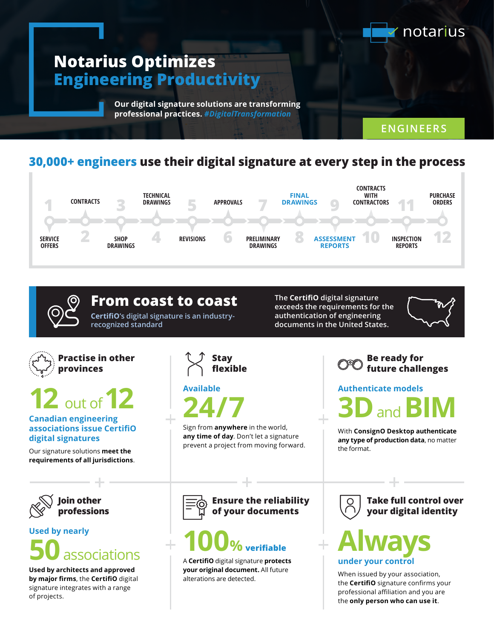

#### **30,000+ engineers use their digital signature at every step in the process**





**exceeds the requirements for the authentication of engineering documents in the United States.**

**The CertifiO digital signature** 



**Authenticate models** and **B** 

With **ConsignO Desktop authenticate any type of production data**, no matter the format.

**Ensure the reliability of your documents**

# **100 % verifiable**

A **CertifiO** digital signature **protects your original document.** All future alterations are detected.

**Take full control over your digital identity**

**Always under your control**

When issued by your association, the **CertifiO** signature confirms your professional affiliation and you are the **only person who can use it**.

# **Practise in other**



**12** out of **12**

#### **Canadian engineering associations issue CertifiO digital signatures**

Our signature solutions **meet the requirements of all jurisdictions**.



## **Used by nearly 50**associations

**Used by architects and approved by major firms**, the **CertifiO** digital signature integrates with a range of projects.

**Stay flexible**

**Available 24/7**

Sign from **anywhere** in the world, **any time of day**. Don't let a signature prevent a project from moving forward.